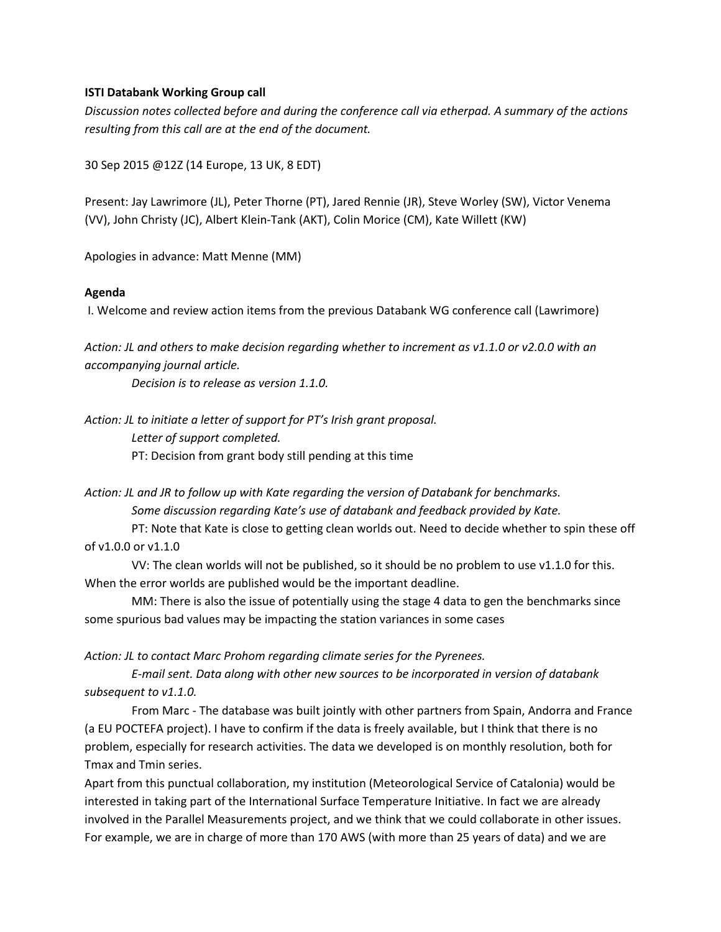#### **ISTI Databank Working Group call**

*Discussion notes collected before and during the conference call via etherpad. A summary of the actions resulting from this call are at the end of the document.*

30 Sep 2015 @12Z (14 Europe, 13 UK, 8 EDT)

Present: Jay Lawrimore (JL), Peter Thorne (PT), Jared Rennie (JR), Steve Worley (SW), Victor Venema (VV), John Christy (JC), Albert Klein-Tank (AKT), Colin Morice (CM), Kate Willett (KW)

Apologies in advance: Matt Menne (MM)

#### **Agenda**

I. Welcome and review action items from the previous Databank WG conference call (Lawrimore)

*Action: JL and others to make decision regarding whether to increment as v1.1.0 or v2.0.0 with an accompanying journal article.*

 *Decision is to release as version 1.1.0.*

*Action: JL to initiate a letter of support for PT's Irish grant proposal. Letter of support completed.* PT: Decision from grant body still pending at this time

*Action: JL and JR to follow up with Kate regarding the version of Databank for benchmarks. Some discussion regarding Kate's use of databank and feedback provided by Kate.*

 PT: Note that Kate is close to getting clean worlds out. Need to decide whether to spin these off of v1.0.0 or v1.1.0

 VV: The clean worlds will not be published, so it should be no problem to use v1.1.0 for this. When the error worlds are published would be the important deadline.

 MM: There is also the issue of potentially using the stage 4 data to gen the benchmarks since some spurious bad values may be impacting the station variances in some cases

*Action: JL to contact Marc Prohom regarding climate series for the Pyrenees.*

 *E-mail sent. Data along with other new sources to be incorporated in version of databank subsequent to v1.1.0.*

 From Marc - The database was built jointly with other partners from Spain, Andorra and France (a EU POCTEFA project). I have to confirm if the data is freely available, but I think that there is no problem, especially for research activities. The data we developed is on monthly resolution, both for Tmax and Tmin series.

Apart from this punctual collaboration, my institution (Meteorological Service of Catalonia) would be interested in taking part of the International Surface Temperature Initiative. In fact we are already involved in the Parallel Measurements project, and we think that we could collaborate in other issues. For example, we are in charge of more than 170 AWS (with more than 25 years of data) and we are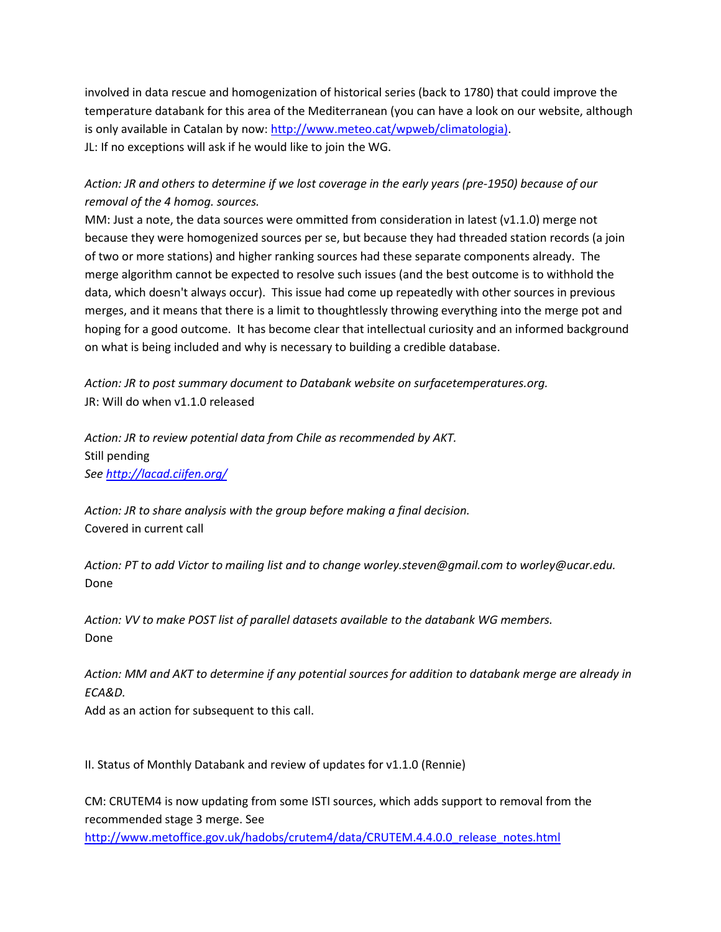involved in data rescue and homogenization of historical series (back to 1780) that could improve the temperature databank for this area of the Mediterranean (you can have a look on our website, although is only available in Catalan by now: [http://www.meteo.cat/wpweb/climatologia\).](http://www.meteo.cat/wpweb/climatologia)) JL: If no exceptions will ask if he would like to join the WG.

# *Action: JR and others to determine if we lost coverage in the early years (pre-1950) because of our removal of the 4 homog. sources.*

MM: Just a note, the data sources were ommitted from consideration in latest (v1.1.0) merge not because they were homogenized sources per se, but because they had threaded station records (a join of two or more stations) and higher ranking sources had these separate components already. The merge algorithm cannot be expected to resolve such issues (and the best outcome is to withhold the data, which doesn't always occur). This issue had come up repeatedly with other sources in previous merges, and it means that there is a limit to thoughtlessly throwing everything into the merge pot and hoping for a good outcome. It has become clear that intellectual curiosity and an informed background on what is being included and why is necessary to building a credible database.

*Action: JR to post summary document to Databank website on surfacetemperatures.org.* JR: Will do when v1.1.0 released

*Action: JR to review potential data from Chile as recommended by AKT.* Still pending *See<http://lacad.ciifen.org/>*

*Action: JR to share analysis with the group before making a final decision.* Covered in current call

*Action: PT to add Victor to mailing list and to change worley.steven@gmail.com to worley@ucar.edu.* Done

*Action: VV to make POST list of parallel datasets available to the databank WG members.* Done

*Action: MM and AKT to determine if any potential sources for addition to databank merge are already in ECA&D.*

Add as an action for subsequent to this call.

II. Status of Monthly Databank and review of updates for v1.1.0 (Rennie)

CM: CRUTEM4 is now updating from some ISTI sources, which adds support to removal from the recommended stage 3 merge. See [http://www.metoffice.gov.uk/hadobs/crutem4/data/CRUTEM.4.4.0.0\\_release\\_notes.html](http://www.metoffice.gov.uk/hadobs/crutem4/data/CRUTEM.4.4.0.0_release_notes.html)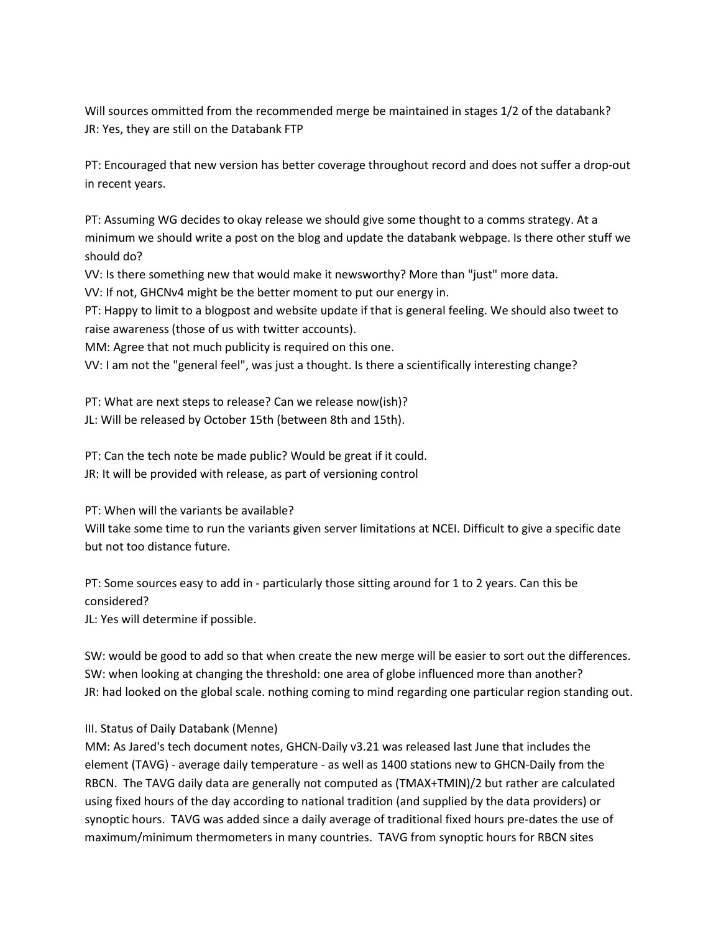Will sources ommitted from the recommended merge be maintained in stages 1/2 of the databank? JR: Yes, they are still on the Databank FTP

PT: Encouraged that new version has better coverage throughout record and does not suffer a drop-out in recent years.

PT: Assuming WG decides to okay release we should give some thought to a comms strategy. At a minimum we should write a post on the blog and update the databank webpage. Is there other stuff we should do?

VV: Is there something new that would make it newsworthy? More than "just" more data.

VV: If not, GHCNv4 might be the better moment to put our energy in.

PT: Happy to limit to a blogpost and website update if that is general feeling. We should also tweet to raise awareness (those of us with twitter accounts).

MM: Agree that not much publicity is required on this one.

VV: I am not the "general feel", was just a thought. Is there a scientifically interesting change?

PT: What are next steps to release? Can we release now(ish)? JL: Will be released by October 15th (between 8th and 15th).

PT: Can the tech note be made public? Would be great if it could. JR: It will be provided with release, as part of versioning control

PT: When will the variants be available?

Will take some time to run the variants given server limitations at NCEI. Difficult to give a specific date but not too distance future.

PT: Some sources easy to add in - particularly those sitting around for 1 to 2 years. Can this be considered?

JL: Yes will determine if possible.

SW: would be good to add so that when create the new merge will be easier to sort out the differences. SW: when looking at changing the threshold: one area of globe influenced more than another? JR: had looked on the global scale. nothing coming to mind regarding one particular region standing out.

### III. Status of Daily Databank (Menne)

MM: As Jared's tech document notes, GHCN-Daily v3.21 was released last June that includes the element (TAVG) - average daily temperature - as well as 1400 stations new to GHCN-Daily from the RBCN. The TAVG daily data are generally not computed as (TMAX+TMIN)/2 but rather are calculated using fixed hours of the day according to national tradition (and supplied by the data providers) or synoptic hours. TAVG was added since a daily average of traditional fixed hours pre-dates the use of maximum/minimum thermometers in many countries. TAVG from synoptic hours for RBCN sites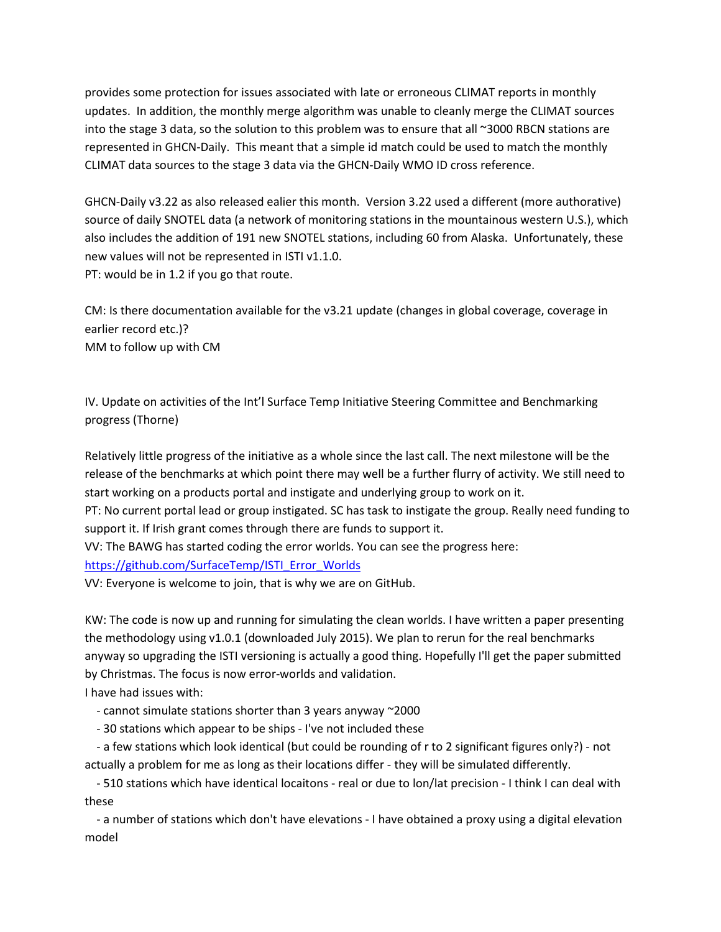provides some protection for issues associated with late or erroneous CLIMAT reports in monthly updates. In addition, the monthly merge algorithm was unable to cleanly merge the CLIMAT sources into the stage 3 data, so the solution to this problem was to ensure that all ~3000 RBCN stations are represented in GHCN-Daily. This meant that a simple id match could be used to match the monthly CLIMAT data sources to the stage 3 data via the GHCN-Daily WMO ID cross reference.

GHCN-Daily v3.22 as also released ealier this month. Version 3.22 used a different (more authorative) source of daily SNOTEL data (a network of monitoring stations in the mountainous western U.S.), which also includes the addition of 191 new SNOTEL stations, including 60 from Alaska. Unfortunately, these new values will not be represented in ISTI v1.1.0. PT: would be in 1.2 if you go that route.

CM: Is there documentation available for the v3.21 update (changes in global coverage, coverage in earlier record etc.)? MM to follow up with CM

IV. Update on activities of the Int'l Surface Temp Initiative Steering Committee and Benchmarking progress (Thorne)

Relatively little progress of the initiative as a whole since the last call. The next milestone will be the release of the benchmarks at which point there may well be a further flurry of activity. We still need to start working on a products portal and instigate and underlying group to work on it.

PT: No current portal lead or group instigated. SC has task to instigate the group. Really need funding to support it. If Irish grant comes through there are funds to support it.

VV: The BAWG has started coding the error worlds. You can see the progress here:

[https://github.com/SurfaceTemp/ISTI\\_Error\\_Worlds](https://github.com/SurfaceTemp/ISTI_Error_Worlds)

VV: Everyone is welcome to join, that is why we are on GitHub.

KW: The code is now up and running for simulating the clean worlds. I have written a paper presenting the methodology using v1.0.1 (downloaded July 2015). We plan to rerun for the real benchmarks anyway so upgrading the ISTI versioning is actually a good thing. Hopefully I'll get the paper submitted by Christmas. The focus is now error-worlds and validation.

I have had issues with:

- cannot simulate stations shorter than 3 years anyway ~2000

- 30 stations which appear to be ships - I've not included these

 - a few stations which look identical (but could be rounding of r to 2 significant figures only?) - not actually a problem for me as long as their locations differ - they will be simulated differently.

 - 510 stations which have identical locaitons - real or due to lon/lat precision - I think I can deal with these

 - a number of stations which don't have elevations - I have obtained a proxy using a digital elevation model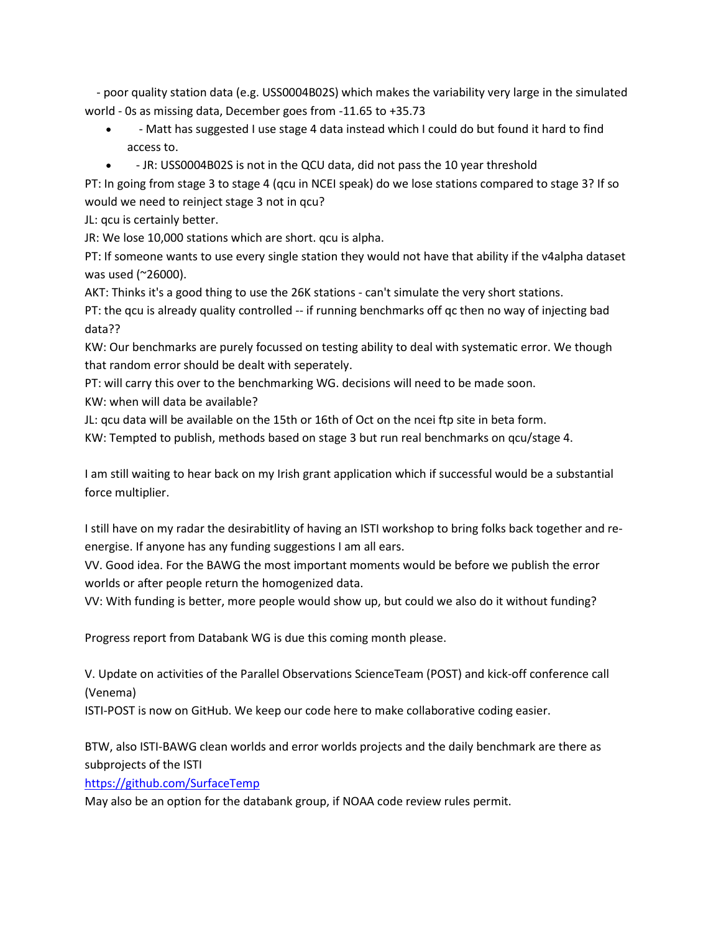- poor quality station data (e.g. USS0004B02S) which makes the variability very large in the simulated world - 0s as missing data, December goes from -11.65 to +35.73

- - Matt has suggested I use stage 4 data instead which I could do but found it hard to find access to.
- JR: USS0004B02S is not in the QCU data, did not pass the 10 year threshold

PT: In going from stage 3 to stage 4 (qcu in NCEI speak) do we lose stations compared to stage 3? If so would we need to reinject stage 3 not in qcu?

JL: qcu is certainly better.

JR: We lose 10,000 stations which are short. qcu is alpha.

PT: If someone wants to use every single station they would not have that ability if the v4alpha dataset was used (~26000).

AKT: Thinks it's a good thing to use the 26K stations - can't simulate the very short stations.

PT: the qcu is already quality controlled -- if running benchmarks off qc then no way of injecting bad data??

KW: Our benchmarks are purely focussed on testing ability to deal with systematic error. We though that random error should be dealt with seperately.

PT: will carry this over to the benchmarking WG. decisions will need to be made soon.

KW: when will data be available?

JL: qcu data will be available on the 15th or 16th of Oct on the ncei ftp site in beta form.

KW: Tempted to publish, methods based on stage 3 but run real benchmarks on qcu/stage 4.

I am still waiting to hear back on my Irish grant application which if successful would be a substantial force multiplier.

I still have on my radar the desirabitlity of having an ISTI workshop to bring folks back together and reenergise. If anyone has any funding suggestions I am all ears.

VV. Good idea. For the BAWG the most important moments would be before we publish the error worlds or after people return the homogenized data.

VV: With funding is better, more people would show up, but could we also do it without funding?

Progress report from Databank WG is due this coming month please.

V. Update on activities of the Parallel Observations ScienceTeam (POST) and kick-off conference call (Venema)

ISTI-POST is now on GitHub. We keep our code here to make collaborative coding easier.

BTW, also ISTI-BAWG clean worlds and error worlds projects and the daily benchmark are there as subprojects of the ISTI

<https://github.com/SurfaceTemp>

May also be an option for the databank group, if NOAA code review rules permit.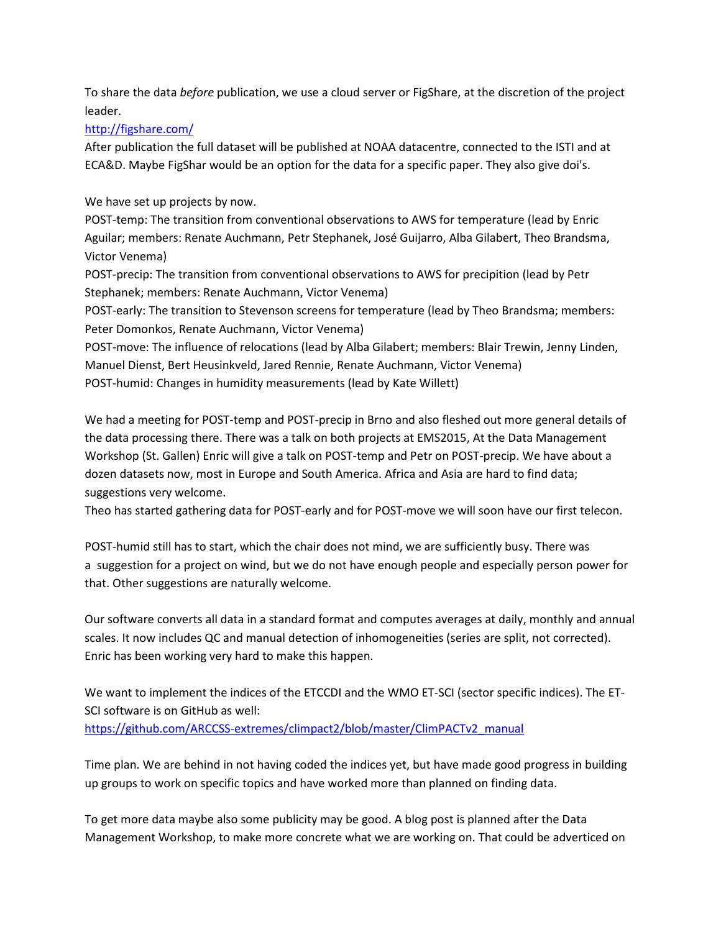To share the data *before* publication, we use a cloud server or FigShare, at the discretion of the project leader.

## <http://figshare.com/>

After publication the full dataset will be published at NOAA datacentre, connected to the ISTI and at ECA&D. Maybe FigShar would be an option for the data for a specific paper. They also give doi's.

### We have set up projects by now.

POST-temp: The transition from conventional observations to AWS for temperature (lead by Enric Aguilar; members: Renate Auchmann, Petr Stephanek, José Guijarro, Alba Gilabert, Theo Brandsma, Victor Venema)

POST-precip: The transition from conventional observations to AWS for precipition (lead by Petr Stephanek; members: Renate Auchmann, Victor Venema)

POST-early: The transition to Stevenson screens for temperature (lead by Theo Brandsma; members: Peter Domonkos, Renate Auchmann, Victor Venema)

POST-move: The influence of relocations (lead by Alba Gilabert; members: Blair Trewin, Jenny Linden, Manuel Dienst, Bert Heusinkveld, Jared Rennie, Renate Auchmann, Victor Venema) POST-humid: Changes in humidity measurements (lead by Kate Willett)

We had a meeting for POST-temp and POST-precip in Brno and also fleshed out more general details of the data processing there. There was a talk on both projects at EMS2015, At the Data Management Workshop (St. Gallen) Enric will give a talk on POST-temp and Petr on POST-precip. We have about a dozen datasets now, most in Europe and South America. Africa and Asia are hard to find data; suggestions very welcome.

Theo has started gathering data for POST-early and for POST-move we will soon have our first telecon.

POST-humid still has to start, which the chair does not mind, we are sufficiently busy. There was a suggestion for a project on wind, but we do not have enough people and especially person power for that. Other suggestions are naturally welcome.

Our software converts all data in a standard format and computes averages at daily, monthly and annual scales. It now includes QC and manual detection of inhomogeneities (series are split, not corrected). Enric has been working very hard to make this happen.

We want to implement the indices of the ETCCDI and the WMO ET-SCI (sector specific indices). The ET-SCI software is on GitHub as well: [https://github.com/ARCCSS-extremes/climpact2/blob/master/ClimPACTv2\\_manual](https://github.com/ARCCSS-extremes/climpact2/blob/master/ClimPACTv2_manual)

Time plan. We are behind in not having coded the indices yet, but have made good progress in building up groups to work on specific topics and have worked more than planned on finding data.

To get more data maybe also some publicity may be good. A blog post is planned after the Data Management Workshop, to make more concrete what we are working on. That could be adverticed on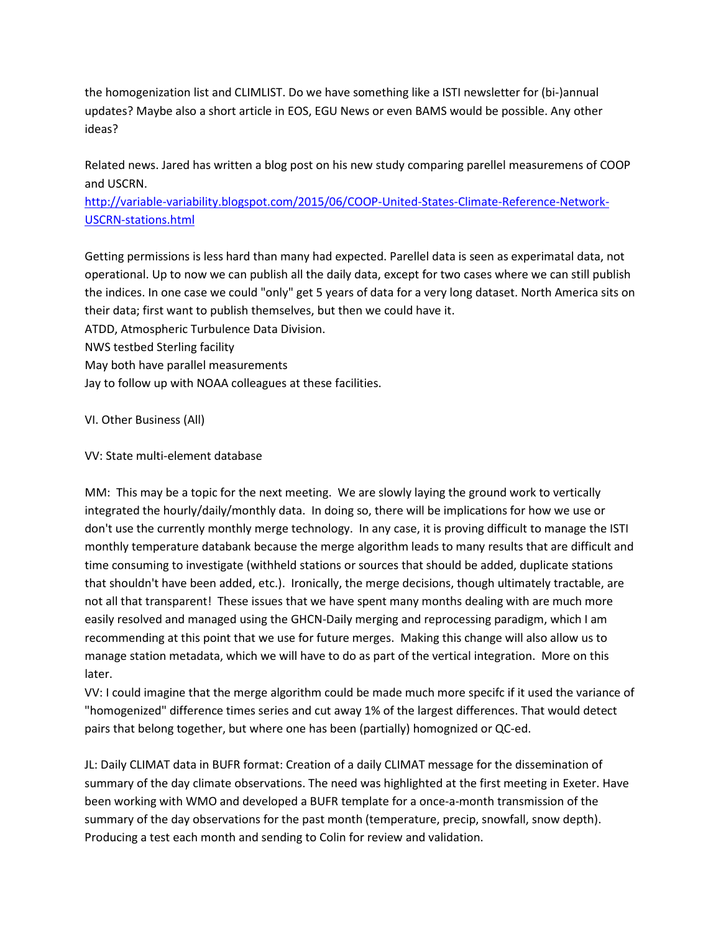the homogenization list and CLIMLIST. Do we have something like a ISTI newsletter for (bi-)annual updates? Maybe also a short article in EOS, EGU News or even BAMS would be possible. Any other ideas?

Related news. Jared has written a blog post on his new study comparing parellel measuremens of COOP and USCRN.

[http://variable-variability.blogspot.com/2015/06/COOP-United-States-Climate-Reference-Network-](http://variable-variability.blogspot.com/2015/06/COOP-United-States-Climate-Reference-Network-USCRN-stations.html)[USCRN-stations.html](http://variable-variability.blogspot.com/2015/06/COOP-United-States-Climate-Reference-Network-USCRN-stations.html)

Getting permissions is less hard than many had expected. Parellel data is seen as experimatal data, not operational. Up to now we can publish all the daily data, except for two cases where we can still publish the indices. In one case we could "only" get 5 years of data for a very long dataset. North America sits on their data; first want to publish themselves, but then we could have it.

ATDD, Atmospheric Turbulence Data Division.

NWS testbed Sterling facility

May both have parallel measurements

Jay to follow up with NOAA colleagues at these facilities.

VI. Other Business (All)

VV: State multi-element database

MM: This may be a topic for the next meeting. We are slowly laying the ground work to vertically integrated the hourly/daily/monthly data. In doing so, there will be implications for how we use or don't use the currently monthly merge technology. In any case, it is proving difficult to manage the ISTI monthly temperature databank because the merge algorithm leads to many results that are difficult and time consuming to investigate (withheld stations or sources that should be added, duplicate stations that shouldn't have been added, etc.). Ironically, the merge decisions, though ultimately tractable, are not all that transparent! These issues that we have spent many months dealing with are much more easily resolved and managed using the GHCN-Daily merging and reprocessing paradigm, which I am recommending at this point that we use for future merges. Making this change will also allow us to manage station metadata, which we will have to do as part of the vertical integration. More on this later.

VV: I could imagine that the merge algorithm could be made much more specifc if it used the variance of "homogenized" difference times series and cut away 1% of the largest differences. That would detect pairs that belong together, but where one has been (partially) homognized or QC-ed.

JL: Daily CLIMAT data in BUFR format: Creation of a daily CLIMAT message for the dissemination of summary of the day climate observations. The need was highlighted at the first meeting in Exeter. Have been working with WMO and developed a BUFR template for a once-a-month transmission of the summary of the day observations for the past month (temperature, precip, snowfall, snow depth). Producing a test each month and sending to Colin for review and validation.